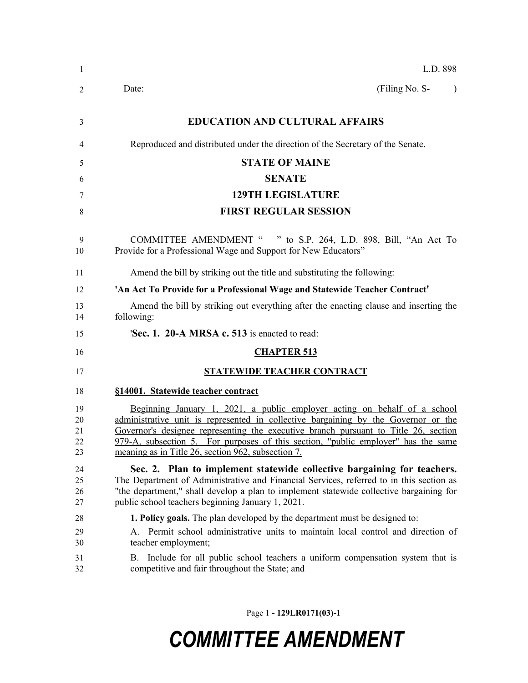| $\mathbf{1}$               | L.D. 898                                                                                                                                                                                                                                                                                                                                                                                          |
|----------------------------|---------------------------------------------------------------------------------------------------------------------------------------------------------------------------------------------------------------------------------------------------------------------------------------------------------------------------------------------------------------------------------------------------|
| 2                          | (Filing No. S-<br>Date:<br>$\lambda$                                                                                                                                                                                                                                                                                                                                                              |
| 3                          | <b>EDUCATION AND CULTURAL AFFAIRS</b>                                                                                                                                                                                                                                                                                                                                                             |
| 4                          | Reproduced and distributed under the direction of the Secretary of the Senate.                                                                                                                                                                                                                                                                                                                    |
| 5                          | <b>STATE OF MAINE</b>                                                                                                                                                                                                                                                                                                                                                                             |
| 6                          | <b>SENATE</b>                                                                                                                                                                                                                                                                                                                                                                                     |
| 7                          | <b>129TH LEGISLATURE</b>                                                                                                                                                                                                                                                                                                                                                                          |
| 8                          | <b>FIRST REGULAR SESSION</b>                                                                                                                                                                                                                                                                                                                                                                      |
| 9<br>10                    | COMMITTEE AMENDMENT " " to S.P. 264, L.D. 898, Bill, "An Act To<br>Provide for a Professional Wage and Support for New Educators"                                                                                                                                                                                                                                                                 |
| 11                         | Amend the bill by striking out the title and substituting the following:                                                                                                                                                                                                                                                                                                                          |
| 12                         | 'An Act To Provide for a Professional Wage and Statewide Teacher Contract'                                                                                                                                                                                                                                                                                                                        |
| 13<br>14                   | Amend the bill by striking out everything after the enacting clause and inserting the<br>following:                                                                                                                                                                                                                                                                                               |
| 15                         | <b>Sec. 1. 20-A MRSA c. 513</b> is enacted to read:                                                                                                                                                                                                                                                                                                                                               |
| 16                         | <b>CHAPTER 513</b>                                                                                                                                                                                                                                                                                                                                                                                |
| 17                         | <b>STATEWIDE TEACHER CONTRACT</b>                                                                                                                                                                                                                                                                                                                                                                 |
| 18                         | §14001. Statewide teacher contract                                                                                                                                                                                                                                                                                                                                                                |
| 19<br>20<br>21<br>22<br>23 | Beginning January 1, 2021, a public employer acting on behalf of a school<br>administrative unit is represented in collective bargaining by the Governor or the<br>Governor's designee representing the executive branch pursuant to Title 26, section<br>979-A, subsection 5. For purposes of this section, "public employer" has the same<br>meaning as in Title 26, section 962, subsection 7. |
| 24<br>25<br>26<br>27       | Sec. 2. Plan to implement statewide collective bargaining for teachers.<br>The Department of Administrative and Financial Services, referred to in this section as<br>"the department," shall develop a plan to implement statewide collective bargaining for<br>public school teachers beginning January 1, 2021.                                                                                |
| 28<br>29<br>30<br>31<br>32 | <b>1. Policy goals.</b> The plan developed by the department must be designed to:<br>A. Permit school administrative units to maintain local control and direction of<br>teacher employment;<br>B. Include for all public school teachers a uniform compensation system that is<br>competitive and fair throughout the State; and                                                                 |
|                            |                                                                                                                                                                                                                                                                                                                                                                                                   |

Page 1 **- 129LR0171(03)-1**

## *COMMITTEE AMENDMENT*